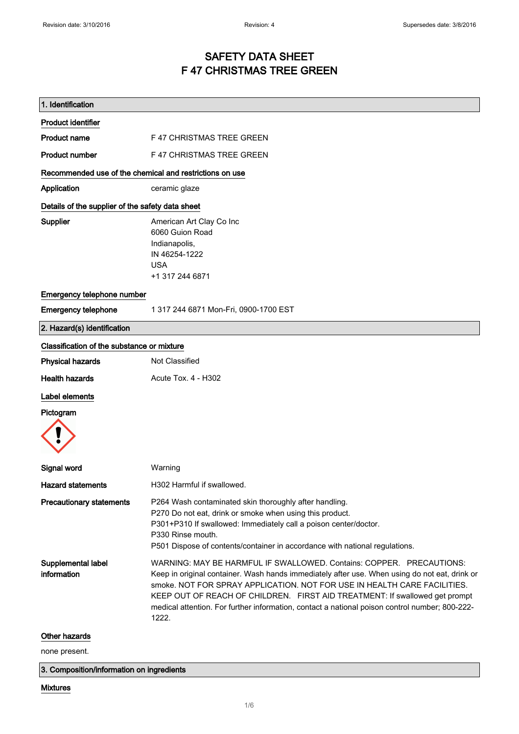# SAFETY DATA SHEET F 47 CHRISTMAS TREE GREEN

| 1. Identification                                       |                                                                                                                                                                                                                                                                                                                                                                                                                                             |  |  |
|---------------------------------------------------------|---------------------------------------------------------------------------------------------------------------------------------------------------------------------------------------------------------------------------------------------------------------------------------------------------------------------------------------------------------------------------------------------------------------------------------------------|--|--|
| <b>Product identifier</b>                               |                                                                                                                                                                                                                                                                                                                                                                                                                                             |  |  |
| <b>Product name</b>                                     | <b>F47 CHRISTMAS TREE GREEN</b>                                                                                                                                                                                                                                                                                                                                                                                                             |  |  |
| <b>Product number</b>                                   | F 47 CHRISTMAS TREE GREEN                                                                                                                                                                                                                                                                                                                                                                                                                   |  |  |
| Recommended use of the chemical and restrictions on use |                                                                                                                                                                                                                                                                                                                                                                                                                                             |  |  |
| Application                                             | ceramic glaze                                                                                                                                                                                                                                                                                                                                                                                                                               |  |  |
|                                                         | Details of the supplier of the safety data sheet                                                                                                                                                                                                                                                                                                                                                                                            |  |  |
| Supplier                                                | American Art Clay Co Inc<br>6060 Guion Road<br>Indianapolis,<br>IN 46254-1222<br><b>USA</b><br>+1 317 244 6871                                                                                                                                                                                                                                                                                                                              |  |  |
| Emergency telephone number                              |                                                                                                                                                                                                                                                                                                                                                                                                                                             |  |  |
| <b>Emergency telephone</b>                              | 1 317 244 6871 Mon-Fri, 0900-1700 EST                                                                                                                                                                                                                                                                                                                                                                                                       |  |  |
| 2. Hazard(s) identification                             |                                                                                                                                                                                                                                                                                                                                                                                                                                             |  |  |
| Classification of the substance or mixture              |                                                                                                                                                                                                                                                                                                                                                                                                                                             |  |  |
| <b>Physical hazards</b>                                 | Not Classified                                                                                                                                                                                                                                                                                                                                                                                                                              |  |  |
| <b>Health hazards</b>                                   | Acute Tox. 4 - H302                                                                                                                                                                                                                                                                                                                                                                                                                         |  |  |
| Label elements                                          |                                                                                                                                                                                                                                                                                                                                                                                                                                             |  |  |
| Pictogram                                               |                                                                                                                                                                                                                                                                                                                                                                                                                                             |  |  |
| Signal word                                             | Warning                                                                                                                                                                                                                                                                                                                                                                                                                                     |  |  |
| <b>Hazard statements</b>                                | H302 Harmful if swallowed                                                                                                                                                                                                                                                                                                                                                                                                                   |  |  |
| <b>Precautionary statements</b>                         | P264 Wash contaminated skin thoroughly after handling.<br>P270 Do not eat, drink or smoke when using this product.<br>P301+P310 If swallowed: Immediately call a poison center/doctor.<br>P330 Rinse mouth.<br>P501 Dispose of contents/container in accordance with national regulations.                                                                                                                                                  |  |  |
| Supplemental label<br>information                       | WARNING: MAY BE HARMFUL IF SWALLOWED, Contains: COPPER. PRECAUTIONS:<br>Keep in original container. Wash hands immediately after use. When using do not eat, drink or<br>smoke. NOT FOR SPRAY APPLICATION. NOT FOR USE IN HEALTH CARE FACILITIES.<br>KEEP OUT OF REACH OF CHILDREN. FIRST AID TREATMENT: If swallowed get prompt<br>medical attention. For further information, contact a national poison control number; 800-222-<br>1222. |  |  |
| Other hazards                                           |                                                                                                                                                                                                                                                                                                                                                                                                                                             |  |  |

none present.

3. Composition/information on ingredients

## Mixtures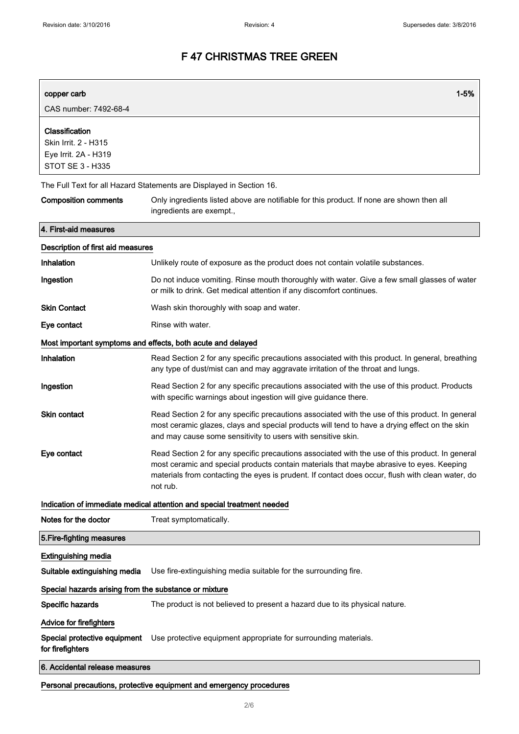| copper carb                                                                               | $1 - 5%$                                                                                                                                                                                                                                                                                                    |
|-------------------------------------------------------------------------------------------|-------------------------------------------------------------------------------------------------------------------------------------------------------------------------------------------------------------------------------------------------------------------------------------------------------------|
| CAS number: 7492-68-4                                                                     |                                                                                                                                                                                                                                                                                                             |
| Classification<br>Skin Irrit. 2 - H315<br>Eye Irrit. 2A - H319<br><b>STOT SE 3 - H335</b> |                                                                                                                                                                                                                                                                                                             |
|                                                                                           | The Full Text for all Hazard Statements are Displayed in Section 16.                                                                                                                                                                                                                                        |
| <b>Composition comments</b>                                                               | Only ingredients listed above are notifiable for this product. If none are shown then all<br>ingredients are exempt.,                                                                                                                                                                                       |
| 4. First-aid measures                                                                     |                                                                                                                                                                                                                                                                                                             |
| Description of first aid measures                                                         |                                                                                                                                                                                                                                                                                                             |
| Inhalation                                                                                | Unlikely route of exposure as the product does not contain volatile substances.                                                                                                                                                                                                                             |
| Ingestion                                                                                 | Do not induce vomiting. Rinse mouth thoroughly with water. Give a few small glasses of water<br>or milk to drink. Get medical attention if any discomfort continues.                                                                                                                                        |
| <b>Skin Contact</b>                                                                       | Wash skin thoroughly with soap and water.                                                                                                                                                                                                                                                                   |
| Eye contact                                                                               | Rinse with water.                                                                                                                                                                                                                                                                                           |
|                                                                                           | Most important symptoms and effects, both acute and delayed                                                                                                                                                                                                                                                 |
| Inhalation                                                                                | Read Section 2 for any specific precautions associated with this product. In general, breathing<br>any type of dust/mist can and may aggravate irritation of the throat and lungs.                                                                                                                          |
| Ingestion                                                                                 | Read Section 2 for any specific precautions associated with the use of this product. Products<br>with specific warnings about ingestion will give guidance there.                                                                                                                                           |
| <b>Skin contact</b>                                                                       | Read Section 2 for any specific precautions associated with the use of this product. In general<br>most ceramic glazes, clays and special products will tend to have a drying effect on the skin<br>and may cause some sensitivity to users with sensitive skin.                                            |
| Eye contact                                                                               | Read Section 2 for any specific precautions associated with the use of this product. In general<br>most ceramic and special products contain materials that maybe abrasive to eyes. Keeping<br>materials from contacting the eyes is prudent. If contact does occur, flush with clean water, do<br>not rub. |
|                                                                                           | Indication of immediate medical attention and special treatment needed                                                                                                                                                                                                                                      |
| Notes for the doctor                                                                      | Treat symptomatically.                                                                                                                                                                                                                                                                                      |
| 5. Fire-fighting measures                                                                 |                                                                                                                                                                                                                                                                                                             |
| <b>Extinguishing media</b>                                                                |                                                                                                                                                                                                                                                                                                             |
| Suitable extinguishing media                                                              | Use fire-extinguishing media suitable for the surrounding fire.                                                                                                                                                                                                                                             |
| Special hazards arising from the substance or mixture                                     |                                                                                                                                                                                                                                                                                                             |
| Specific hazards                                                                          | The product is not believed to present a hazard due to its physical nature.                                                                                                                                                                                                                                 |
| Advice for firefighters                                                                   |                                                                                                                                                                                                                                                                                                             |
| Special protective equipment<br>for firefighters                                          | Use protective equipment appropriate for surrounding materials.                                                                                                                                                                                                                                             |
| 6. Accidental release measures                                                            |                                                                                                                                                                                                                                                                                                             |
|                                                                                           | Personal precautions, protective equipment and emergency procedures                                                                                                                                                                                                                                         |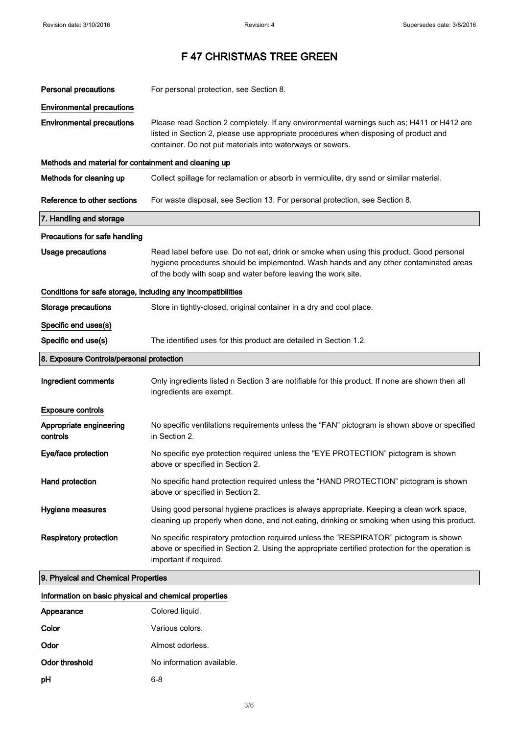| <b>Personal precautions</b>                                  | For personal protection, see Section 8.                                                                                                                                                                                                            |
|--------------------------------------------------------------|----------------------------------------------------------------------------------------------------------------------------------------------------------------------------------------------------------------------------------------------------|
| <b>Environmental precautions</b>                             |                                                                                                                                                                                                                                                    |
| <b>Environmental precautions</b>                             | Please read Section 2 completely. If any environmental warnings such as; H411 or H412 are<br>listed in Section 2, please use appropriate procedures when disposing of product and<br>container. Do not put materials into waterways or sewers.     |
| Methods and material for containment and cleaning up         |                                                                                                                                                                                                                                                    |
| Methods for cleaning up                                      | Collect spillage for reclamation or absorb in vermiculite, dry sand or similar material.                                                                                                                                                           |
| Reference to other sections                                  | For waste disposal, see Section 13. For personal protection, see Section 8.                                                                                                                                                                        |
| 7. Handling and storage                                      |                                                                                                                                                                                                                                                    |
| Precautions for safe handling                                |                                                                                                                                                                                                                                                    |
| <b>Usage precautions</b>                                     | Read label before use. Do not eat, drink or smoke when using this product. Good personal<br>hygiene procedures should be implemented. Wash hands and any other contaminated areas<br>of the body with soap and water before leaving the work site. |
| Conditions for safe storage, including any incompatibilities |                                                                                                                                                                                                                                                    |
| <b>Storage precautions</b>                                   | Store in tightly-closed, original container in a dry and cool place.                                                                                                                                                                               |
| Specific end uses(s)                                         |                                                                                                                                                                                                                                                    |
| Specific end use(s)                                          | The identified uses for this product are detailed in Section 1.2.                                                                                                                                                                                  |
| 8. Exposure Controls/personal protection                     |                                                                                                                                                                                                                                                    |
| Ingredient comments                                          | Only ingredients listed n Section 3 are notifiable for this product. If none are shown then all<br>ingredients are exempt.                                                                                                                         |
| <b>Exposure controls</b>                                     |                                                                                                                                                                                                                                                    |
| Appropriate engineering<br>controls                          | No specific ventilations requirements unless the "FAN" pictogram is shown above or specified<br>in Section 2.                                                                                                                                      |
| Eye/face protection                                          | No specific eye protection required unless the "EYE PROTECTION" pictogram is shown<br>above or specified in Section 2.                                                                                                                             |
| Hand protection                                              | No specific hand protection required unless the "HAND PROTECTION" pictogram is shown<br>above or specified in Section 2.                                                                                                                           |
| <b>Hygiene measures</b>                                      | Using good personal hygiene practices is always appropriate. Keeping a clean work space,<br>cleaning up properly when done, and not eating, drinking or smoking when using this product.                                                           |
| <b>Respiratory protection</b>                                | No specific respiratory protection required unless the "RESPIRATOR" pictogram is shown<br>above or specified in Section 2. Using the appropriate certified protection for the operation is<br>important if required.                               |
|                                                              |                                                                                                                                                                                                                                                    |

| Information on basic physical and chemical properties |  |  |  |
|-------------------------------------------------------|--|--|--|
|                                                       |  |  |  |

| Appearance     | Colored liquid.           |
|----------------|---------------------------|
| Color          | Various colors.           |
| Odor           | Almost odorless.          |
| Odor threshold | No information available. |
| рH             | 6-8                       |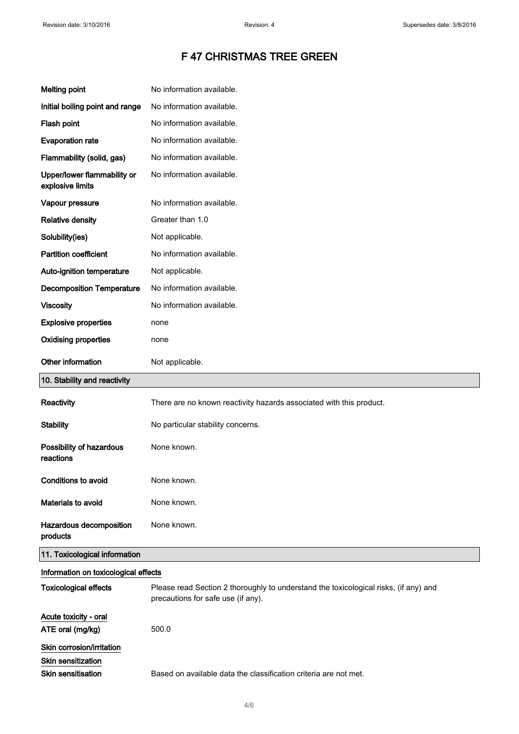| <b>Melting point</b>                            | No information available.                                                                                                  |
|-------------------------------------------------|----------------------------------------------------------------------------------------------------------------------------|
| Initial boiling point and range                 | No information available.                                                                                                  |
| Flash point                                     | No information available.                                                                                                  |
| <b>Evaporation rate</b>                         | No information available.                                                                                                  |
| Flammability (solid, gas)                       | No information available.                                                                                                  |
| Upper/lower flammability or<br>explosive limits | No information available.                                                                                                  |
| Vapour pressure                                 | No information available.                                                                                                  |
| <b>Relative density</b>                         | Greater than 1.0                                                                                                           |
| Solubility(ies)                                 | Not applicable.                                                                                                            |
| <b>Partition coefficient</b>                    | No information available.                                                                                                  |
| Auto-ignition temperature                       | Not applicable.                                                                                                            |
| <b>Decomposition Temperature</b>                | No information available.                                                                                                  |
| <b>Viscosity</b>                                | No information available.                                                                                                  |
| <b>Explosive properties</b>                     | none                                                                                                                       |
| <b>Oxidising properties</b>                     | none                                                                                                                       |
| Other information                               | Not applicable.                                                                                                            |
| 10. Stability and reactivity                    |                                                                                                                            |
| Reactivity                                      | There are no known reactivity hazards associated with this product.                                                        |
| <b>Stability</b>                                | No particular stability concerns.                                                                                          |
| Possibility of hazardous<br>reactions           | None known.                                                                                                                |
| <b>Conditions to avoid</b>                      | None known.                                                                                                                |
| Materials to avoid                              | None known.                                                                                                                |
| Hazardous decomposition<br>products             | None known.                                                                                                                |
| 11. Toxicological information                   |                                                                                                                            |
| Information on toxicological effects            |                                                                                                                            |
| <b>Toxicological effects</b>                    | Please read Section 2 thoroughly to understand the toxicological risks, (if any) and<br>precautions for safe use (if any). |
| Acute toxicity - oral                           |                                                                                                                            |
| ATE oral (mg/kg)                                | 500.0                                                                                                                      |
| Skin corrosion/irritation                       |                                                                                                                            |
| <b>Skin sensitization</b>                       |                                                                                                                            |
| <b>Skin sensitisation</b>                       | Based on available data the classification criteria are not met.                                                           |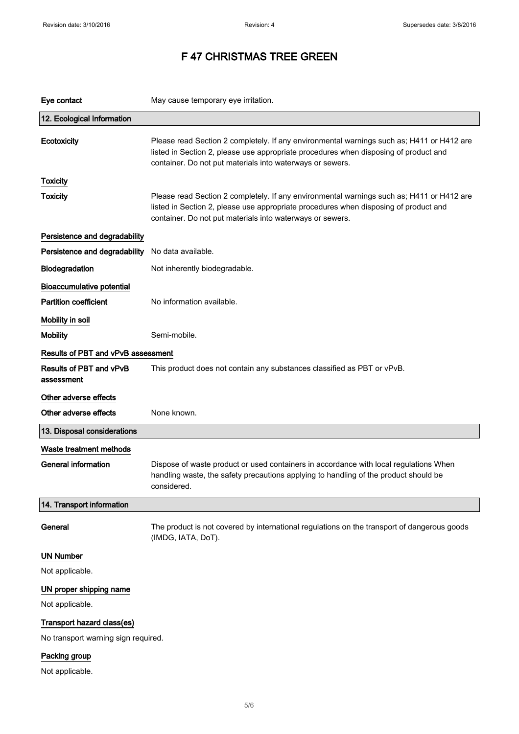| Eye contact                                                      | May cause temporary eye irritation.                                                                                                                                                                                                            |  |
|------------------------------------------------------------------|------------------------------------------------------------------------------------------------------------------------------------------------------------------------------------------------------------------------------------------------|--|
| 12. Ecological Information                                       |                                                                                                                                                                                                                                                |  |
| Ecotoxicity                                                      | Please read Section 2 completely. If any environmental warnings such as; H411 or H412 are<br>listed in Section 2, please use appropriate procedures when disposing of product and<br>container. Do not put materials into waterways or sewers. |  |
| <b>Toxicity</b>                                                  |                                                                                                                                                                                                                                                |  |
| <b>Toxicity</b>                                                  | Please read Section 2 completely. If any environmental warnings such as; H411 or H412 are<br>listed in Section 2, please use appropriate procedures when disposing of product and<br>container. Do not put materials into waterways or sewers. |  |
| Persistence and degradability                                    |                                                                                                                                                                                                                                                |  |
| Persistence and degradability                                    | No data available.                                                                                                                                                                                                                             |  |
| Biodegradation                                                   | Not inherently biodegradable.                                                                                                                                                                                                                  |  |
| <b>Bioaccumulative potential</b><br><b>Partition coefficient</b> | No information available.                                                                                                                                                                                                                      |  |
| Mobility in soil                                                 |                                                                                                                                                                                                                                                |  |
| <b>Mobility</b>                                                  | Semi-mobile.                                                                                                                                                                                                                                   |  |
| Results of PBT and vPvB assessment                               |                                                                                                                                                                                                                                                |  |
| Results of PBT and vPvB<br>assessment                            | This product does not contain any substances classified as PBT or vPvB.                                                                                                                                                                        |  |
| Other adverse effects                                            |                                                                                                                                                                                                                                                |  |
| Other adverse effects                                            | None known.                                                                                                                                                                                                                                    |  |
| 13. Disposal considerations                                      |                                                                                                                                                                                                                                                |  |
| Waste treatment methods                                          |                                                                                                                                                                                                                                                |  |
| <b>General information</b>                                       | Dispose of waste product or used containers in accordance with local regulations When<br>handling waste, the safety precautions applying to handling of the product should be<br>considered.                                                   |  |
| 14. Transport information                                        |                                                                                                                                                                                                                                                |  |
| General                                                          | The product is not covered by international regulations on the transport of dangerous goods<br>(IMDG, IATA, DoT).                                                                                                                              |  |
| <b>UN Number</b>                                                 |                                                                                                                                                                                                                                                |  |
| Not applicable.                                                  |                                                                                                                                                                                                                                                |  |
| UN proper shipping name                                          |                                                                                                                                                                                                                                                |  |
| Not applicable.                                                  |                                                                                                                                                                                                                                                |  |
| Transport hazard class(es)                                       |                                                                                                                                                                                                                                                |  |
| No transport warning sign required.                              |                                                                                                                                                                                                                                                |  |
| Packing group                                                    |                                                                                                                                                                                                                                                |  |

Not applicable.